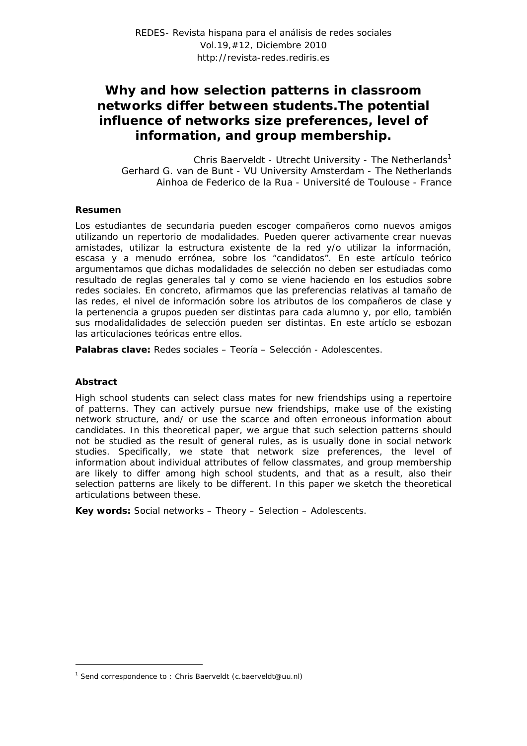# *Why and how selection patterns in classroom networks differ between students.The potential influence of networks size preferences, level of information, and group membership.*

Chris Baerveldt - Utrecht University - The Netherlands<sup>1</sup> Gerhard G. van de Bunt - VU University Amsterdam - The Netherlands Ainhoa de Federico de la Rua - Université de Toulouse - France

## **Resumen**

Los estudiantes de secundaria pueden escoger compañeros como nuevos amigos utilizando un repertorio de modalidades. Pueden querer activamente crear nuevas amistades, utilizar la estructura existente de la red y/o utilizar la información, escasa y a menudo errónea, sobre los "candidatos". En este artículo teórico argumentamos que dichas modalidades de selección no deben ser estudiadas como resultado de reglas generales tal y como se viene haciendo en los estudios sobre redes sociales. En concreto, afirmamos que las preferencias relativas al tamaño de las redes, el nivel de información sobre los atributos de los compañeros de clase y la pertenencia a grupos pueden ser distintas para cada alumno y, por ello, también sus modalidalidades de selección pueden ser distintas. En este artíclo se esbozan las articulaciones teóricas entre ellos.

**Palabras clave:** Redes sociales – Teoría – Selección - Adolescentes.

#### **Abstract**

1

High school students can select class mates for new friendships using a repertoire of patterns. They can actively pursue new friendships, make use of the existing network structure, and/ or use the scarce and often erroneous information about candidates. In this theoretical paper, we argue that such selection patterns should not be studied as the result of general rules, as is usually done in social network studies. Specifically, we state that network size preferences, the level of information about individual attributes of fellow classmates, and group membership are likely to differ among high school students, and that as a result, also their selection patterns are likely to be different. In this paper we sketch the theoretical articulations between these.

**Key words:** Social networks – Theory – Selection – Adolescents.

<sup>&</sup>lt;sup>1</sup> Send correspondence to: Chris Baerveldt (c.baerveldt@uu.nl)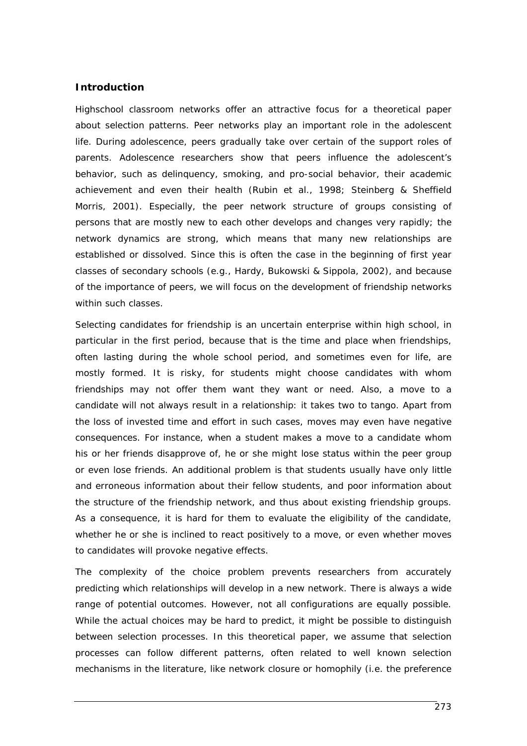# **Introduction**

Highschool classroom networks offer an attractive focus for a theoretical paper about selection patterns. Peer networks play an important role in the adolescent life. During adolescence, peers gradually take over certain of the support roles of parents. Adolescence researchers show that peers influence the adolescent's behavior, such as delinquency, smoking, and pro-social behavior, their academic achievement and even their health (Rubin et al., 1998; Steinberg & Sheffield Morris, 2001). Especially, the peer network structure of groups consisting of persons that are mostly new to each other develops and changes very rapidly; the network dynamics are strong, which means that many new relationships are established or dissolved. Since this is often the case in the beginning of first year classes of secondary schools (e.g., Hardy, Bukowski & Sippola, 2002), and because of the importance of peers, we will focus on the development of friendship networks within such classes.

Selecting candidates for friendship is an uncertain enterprise within high school, in particular in the first period, because that is the time and place when friendships, often lasting during the whole school period, and sometimes even for life, are mostly formed. It is risky, for students might choose candidates with whom friendships may not offer them want they want or need. Also, a move to a candidate will not always result in a relationship: it takes two to tango. Apart from the loss of invested time and effort in such cases, moves may even have negative consequences. For instance, when a student makes a move to a candidate whom his or her friends disapprove of, he or she might lose status within the peer group or even lose friends. An additional problem is that students usually have only little and erroneous information about their fellow students, and poor information about the structure of the friendship network, and thus about existing friendship groups. As a consequence, it is hard for them to evaluate the eligibility of the candidate, whether he or she is inclined to react positively to a move, or even whether moves to candidates will provoke negative effects.

The complexity of the choice problem prevents researchers from accurately predicting which relationships will develop in a new network. There is always a wide range of potential outcomes. However, not all configurations are equally possible. While the actual choices may be hard to predict, it might be possible to distinguish between selection processes. In this theoretical paper, we assume that selection processes can follow different patterns, often related to well known selection mechanisms in the literature, like network closure or homophily (i.e. the preference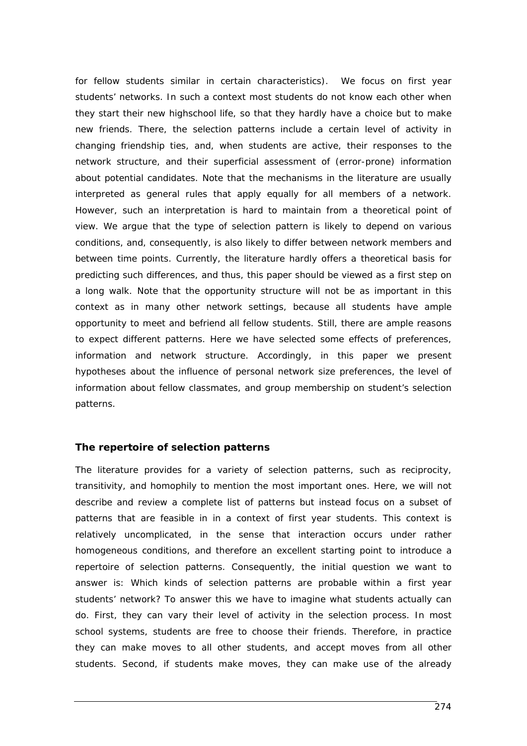for fellow students similar in certain characteristics). We focus on first year students' networks. In such a context most students do not know each other when they start their new highschool life, so that they hardly have a choice but to make new friends. There, the selection patterns include a certain level of activity in changing friendship ties, and, when students are active, their responses to the network structure, and their superficial assessment of (error-prone) information about potential candidates. Note that the mechanisms in the literature are usually interpreted as general rules that apply equally for all members of a network. However, such an interpretation is hard to maintain from a theoretical point of view. We argue that the type of selection pattern is likely to depend on various conditions, and, consequently, is also likely to differ between network members and between time points. Currently, the literature hardly offers a theoretical basis for predicting such differences, and thus, this paper should be viewed as a first step on a long walk. Note that the opportunity structure will not be as important in this context as in many other network settings, because all students have ample opportunity to meet and befriend all fellow students. Still, there are ample reasons to expect different patterns. Here we have selected some effects of preferences, information and network structure. Accordingly, in this paper we present hypotheses about the influence of personal network size preferences, the level of information about fellow classmates, and group membership on student's selection patterns.

# **The repertoire of selection patterns**

The literature provides for a variety of selection patterns, such as reciprocity, transitivity, and homophily to mention the most important ones. Here, we will not describe and review a complete list of patterns but instead focus on a subset of patterns that are feasible in in a context of first year students. This context is relatively uncomplicated, in the sense that interaction occurs under rather homogeneous conditions, and therefore an excellent starting point to introduce a repertoire of selection patterns. Consequently, the initial question we want to answer is: Which kinds of selection patterns are probable within a first year students' network? To answer this we have to imagine what students actually can do. First, they can vary their level of activity in the selection process. In most school systems, students are free to choose their friends. Therefore, in practice they can make moves to all other students, and accept moves from all other students. Second, if students make moves, they can make use of the already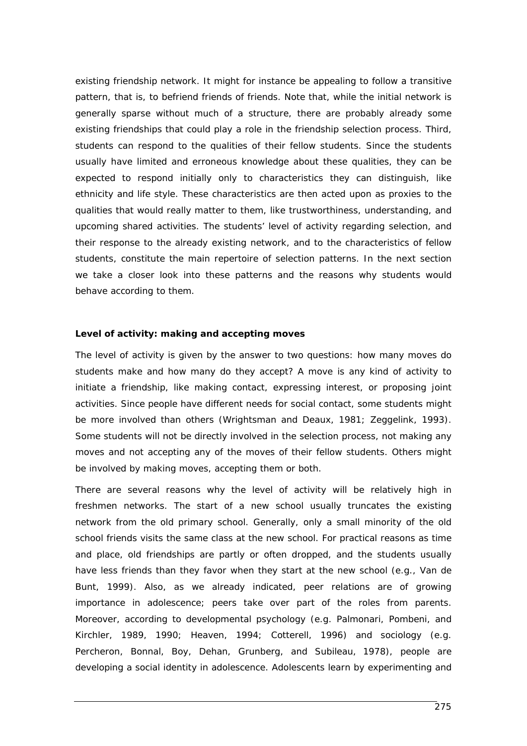existing friendship network. It might for instance be appealing to follow a transitive pattern, that is, to befriend friends of friends. Note that, while the initial network is generally sparse without much of a structure, there are probably already some existing friendships that could play a role in the friendship selection process. Third, students can respond to the qualities of their fellow students. Since the students usually have limited and erroneous knowledge about these qualities, they can be expected to respond initially only to characteristics they can distinguish, like ethnicity and life style. These characteristics are then acted upon as proxies to the qualities that would really matter to them, like trustworthiness, understanding, and upcoming shared activities. The students' level of activity regarding selection, and their response to the already existing network, and to the characteristics of fellow students, constitute the main repertoire of selection patterns. In the next section we take a closer look into these patterns and the reasons why students would behave according to them.

## **Level of activity: making and accepting moves**

The level of activity is given by the answer to two questions: how many moves do students make and how many do they accept? A move is any kind of activity to initiate a friendship, like making contact, expressing interest, or proposing joint activities. Since people have different needs for social contact, some students might be more involved than others (Wrightsman and Deaux, 1981; Zeggelink, 1993). Some students will not be directly involved in the selection process, not making any moves and not accepting any of the moves of their fellow students. Others might be involved by making moves, accepting them or both.

There are several reasons why the level of activity will be relatively high in freshmen networks. The start of a new school usually truncates the existing network from the old primary school. Generally, only a small minority of the old school friends visits the same class at the new school. For practical reasons as time and place, old friendships are partly or often dropped, and the students usually have less friends than they favor when they start at the new school (e.g., Van de Bunt, 1999). Also, as we already indicated, peer relations are of growing importance in adolescence; peers take over part of the roles from parents. Moreover, according to developmental psychology (e.g. Palmonari, Pombeni, and Kirchler, 1989, 1990; Heaven, 1994; Cotterell, 1996) and sociology (e.g. Percheron, Bonnal, Boy, Dehan, Grunberg, and Subileau, 1978), people are developing a social identity in adolescence. Adolescents learn by experimenting and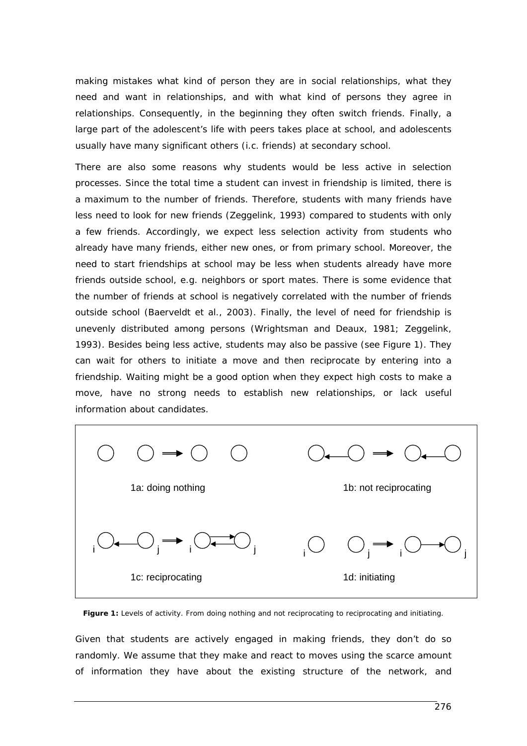making mistakes what kind of person they are in social relationships, what they need and want in relationships, and with what kind of persons they agree in relationships. Consequently, in the beginning they often switch friends. Finally, a large part of the adolescent's life with peers takes place at school, and adolescents usually have many significant others (i.c. friends) at secondary school.

There are also some reasons why students would be less active in selection processes. Since the total time a student can invest in friendship is limited, there is a maximum to the number of friends. Therefore, students with many friends have less need to look for new friends (Zeggelink, 1993) compared to students with only a few friends. Accordingly, we expect less selection activity from students who already have many friends, either new ones, or from primary school. Moreover, the need to start friendships at school may be less when students already have more friends outside school, e.g. neighbors or sport mates. There is some evidence that the number of friends at school is negatively correlated with the number of friends outside school (Baerveldt et al., 2003). Finally, the level of need for friendship is unevenly distributed among persons (Wrightsman and Deaux, 1981; Zeggelink, 1993). Besides being less active, students may also be passive (see Figure 1). They can wait for others to initiate a move and then reciprocate by entering into a friendship. Waiting might be a good option when they expect high costs to make a move, have no strong needs to establish new relationships, or lack useful information about candidates.



Figure 1: Levels of activity. From doing nothing and not reciprocating to reciprocating and initiating.

Given that students are actively engaged in making friends, they don't do so randomly. We assume that they make and react to moves using the scarce amount of information they have about the existing structure of the network, and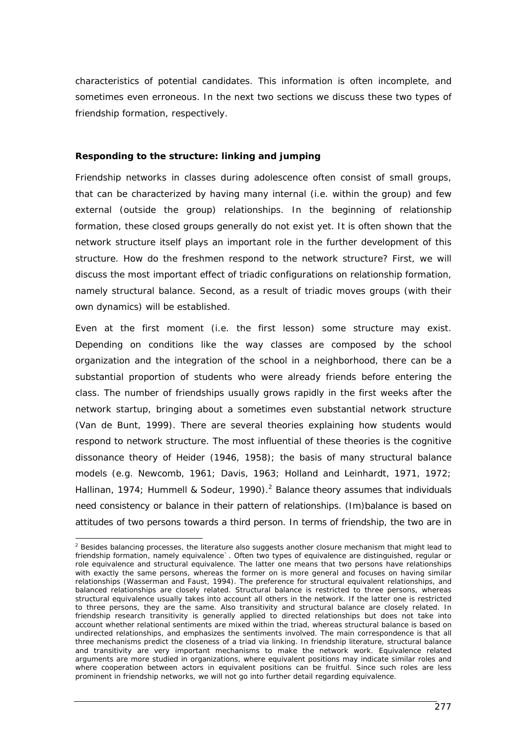characteristics of potential candidates. This information is often incomplete, and sometimes even erroneous. In the next two sections we discuss these two types of friendship formation, respectively.

## **Responding to the structure: linking and jumping**

Friendship networks in classes during adolescence often consist of small groups, that can be characterized by having many internal (i.e. within the group) and few external (outside the group) relationships. In the beginning of relationship formation, these closed groups generally do not exist yet. It is often shown that the network structure itself plays an important role in the further development of this structure. How do the freshmen respond to the network structure? First, we will discuss the most important effect of triadic configurations on relationship formation, namely structural balance. Second, as a result of triadic moves groups (with their own dynamics) will be established.

Even at the first moment (i.e. the first lesson) some structure may exist. Depending on conditions like the way classes are composed by the school organization and the integration of the school in a neighborhood, there can be a substantial proportion of students who were already friends before entering the class. The number of friendships usually grows rapidly in the first weeks after the network startup, bringing about a sometimes even substantial network structure (Van de Bunt, 1999). There are several theories explaining how students would respond to network structure. The most influential of these theories is the cognitive dissonance theory of Heider (1946, 1958); the basis of many structural balance models (e.g. Newcomb, 1961; Davis, 1963; Holland and Leinhardt, 1971, 1972; Hallinan, 1974; Hummell & Sodeur, 1990).<sup>2</sup> Balance theory assumes that individuals need consistency or balance in their pattern of relationships. (Im)balance is based on attitudes of two persons towards a third person. In terms of friendship, the two are in

<sup>1</sup>  $2$  Besides balancing processes, the literature also suggests another closure mechanism that might lead to friendship formation, namely equivalence`. Often two types of equivalence are distinguished, regular or role equivalence and structural equivalence. The latter one means that two persons have relationships with exactly the same persons, whereas the former on is more general and focuses on having similar relationships (Wasserman and Faust, 1994). The preference for structural equivalent relationships, and balanced relationships are closely related. Structural balance is restricted to three persons, whereas structural equivalence usually takes into account all others in the network. If the latter one is restricted to three persons, they are the same. Also transitivity and structural balance are closely related. In friendship research transitivity is generally applied to directed relationships but does not take into account whether relational sentiments are mixed within the triad, whereas structural balance is based on undirected relationships, and emphasizes the sentiments involved. The main correspondence is that all three mechanisms predict the closeness of a triad via linking. In friendship literature, structural balance and transitivity are very important mechanisms to make the network work. Equivalence related arguments are more studied in organizations, where equivalent positions may indicate similar roles and where cooperation between actors in equivalent positions can be fruitful. Since such roles are less prominent in friendship networks, we will not go into further detail regarding equivalence.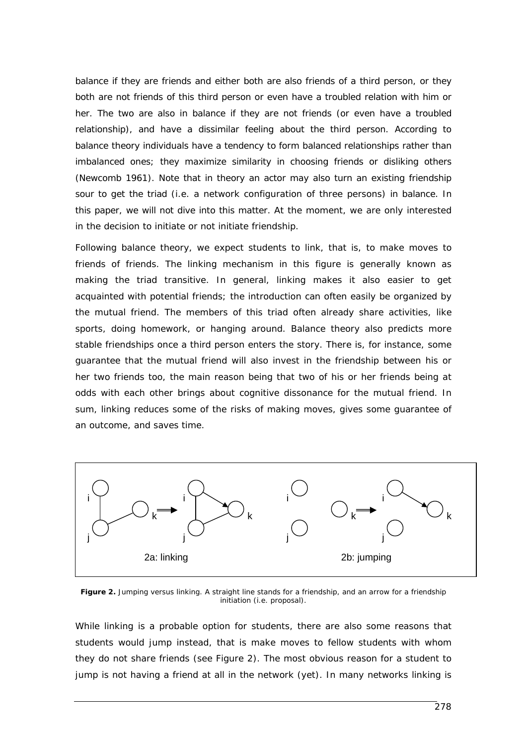balance if they are friends and either both are also friends of a third person, or they both are not friends of this third person or even have a troubled relation with him or her. The two are also in balance if they are not friends (or even have a troubled relationship), and have a dissimilar feeling about the third person. According to balance theory individuals have a tendency to form balanced relationships rather than imbalanced ones; they maximize similarity in choosing friends or disliking others (Newcomb 1961). Note that in theory an actor may also turn an existing friendship sour to get the triad (i.e. a network configuration of three persons) in balance. In this paper, we will not dive into this matter. At the moment, we are only interested in the decision to initiate or not initiate friendship.

Following balance theory, we expect students to link, that is, to make moves to friends of friends. The linking mechanism in this figure is generally known as making the triad transitive. In general, linking makes it also easier to get acquainted with potential friends; the introduction can often easily be organized by the mutual friend. The members of this triad often already share activities, like sports, doing homework, or hanging around. Balance theory also predicts more stable friendships once a third person enters the story. There is, for instance, some guarantee that the mutual friend will also invest in the friendship between his or her two friends too, the main reason being that two of his or her friends being at odds with each other brings about cognitive dissonance for the mutual friend. In sum, linking reduces some of the risks of making moves, gives some guarantee of an outcome, and saves time.



**Figure 2.** Jumping versus linking. A straight line stands for a friendship, and an arrow for a friendship initiation (i.e. proposal).

While linking is a probable option for students, there are also some reasons that students would jump instead, that is make moves to fellow students with whom they do not share friends (see Figure 2). The most obvious reason for a student to jump is not having a friend at all in the network (yet). In many networks linking is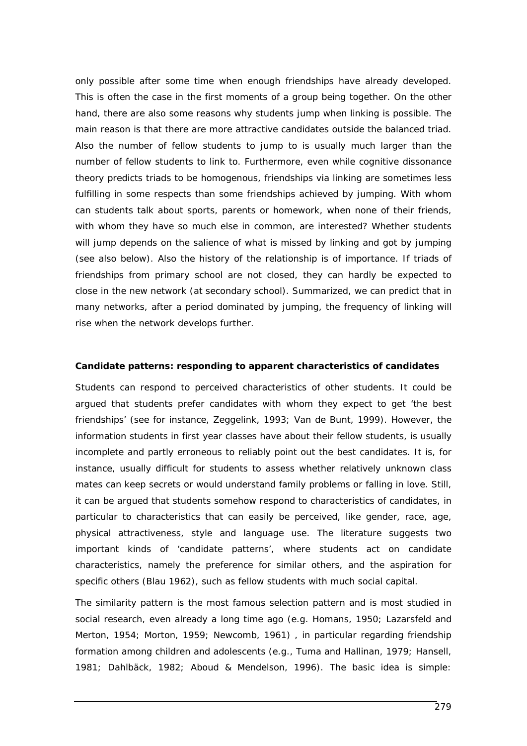only possible after some time when enough friendships have already developed. This is often the case in the first moments of a group being together. On the other hand, there are also some reasons why students jump when linking is possible. The main reason is that there are more attractive candidates outside the balanced triad. Also the number of fellow students to jump to is usually much larger than the number of fellow students to link to. Furthermore, even while cognitive dissonance theory predicts triads to be homogenous, friendships via linking are sometimes less fulfilling in *some* respects than some friendships achieved by jumping. With whom can students talk about sports, parents or homework, when none of their friends, with whom they have so much else in common, are interested? Whether students will jump depends on the salience of what is missed by linking and got by jumping (see also below). Also the history of the relationship is of importance. If triads of friendships from primary school are not closed, they can hardly be expected to close in the new network (at secondary school). Summarized, we can predict that in many networks, after a period dominated by jumping, the frequency of linking will rise when the network develops further.

#### **Candidate patterns: responding to apparent characteristics of candidates**

Students can respond to perceived characteristics of other students. It could be argued that students prefer candidates with whom they expect to get 'the best friendships' (see for instance, Zeggelink, 1993; Van de Bunt, 1999). However, the information students in first year classes have about their fellow students, is usually incomplete and partly erroneous to reliably point out the best candidates. It is, for instance, usually difficult for students to assess whether relatively unknown class mates can keep secrets or would understand family problems or falling in love. Still, it can be argued that students somehow respond to characteristics of candidates, in particular to characteristics that can easily be perceived, like gender, race, age, physical attractiveness, style and language use. The literature suggests two important kinds of 'candidate patterns', where students act on candidate characteristics, namely the preference for similar others, and the aspiration for specific others (Blau 1962), such as fellow students with much social capital.

The similarity pattern is the most famous selection pattern and is most studied in social research, even already a long time ago (e.g. Homans, 1950; Lazarsfeld and Merton, 1954; Morton, 1959; Newcomb, 1961) , in particular regarding friendship formation among children and adolescents (e.g., Tuma and Hallinan, 1979; Hansell, 1981; Dahlbäck, 1982; Aboud & Mendelson, 1996). The basic idea is simple: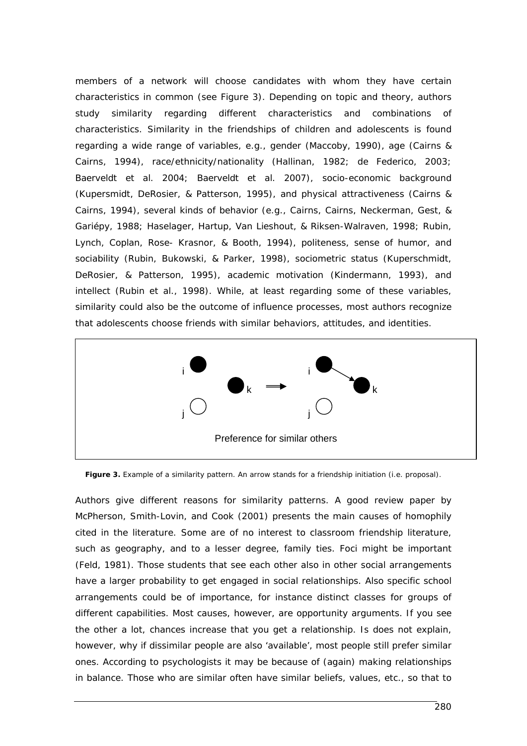members of a network will choose candidates with whom they have certain characteristics in common (see Figure 3). Depending on topic and theory, authors study similarity regarding different characteristics and combinations of characteristics. Similarity in the friendships of children and adolescents is found regarding a wide range of variables, e.g., gender (Maccoby, 1990), age (Cairns & Cairns, 1994), race/ethnicity/nationality (Hallinan, 1982; de Federico, 2003; Baerveldt et al*.* 2004; Baerveldt et al. 2007), socio-economic background (Kupersmidt, DeRosier, & Patterson, 1995), and physical attractiveness (Cairns & Cairns, 1994), several kinds of behavior (e.g., Cairns, Cairns, Neckerman, Gest, & Gariépy, 1988; Haselager, Hartup, Van Lieshout, & Riksen-Walraven, 1998; Rubin, Lynch, Coplan, Rose- Krasnor, & Booth, 1994), politeness, sense of humor, and sociability (Rubin, Bukowski, & Parker, 1998), sociometric status (Kuperschmidt, DeRosier, & Patterson, 1995), academic motivation (Kindermann, 1993), and intellect (Rubin et al., 1998). While, at least regarding some of these variables, similarity could also be the outcome of influence processes, most authors recognize that adolescents choose friends with similar behaviors, attitudes, and identities.



Figure 3. Example of a similarity pattern. An arrow stands for a friendship initiation (i.e. proposal).

Authors give different reasons for similarity patterns. A good review paper by McPherson, Smith-Lovin, and Cook (2001) presents the main causes of homophily cited in the literature. Some are of no interest to classroom friendship literature, such as geography, and to a lesser degree, family ties. Foci might be important (Feld, 1981). Those students that see each other also in other social arrangements have a larger probability to get engaged in social relationships. Also specific school arrangements could be of importance, for instance distinct classes for groups of different capabilities. Most causes, however, are opportunity arguments. If you see the other a lot, chances increase that you get a relationship. Is does not explain, however, why if dissimilar people are also 'available', most people still prefer similar ones. According to psychologists it may be because of (again) making relationships in balance. Those who are similar often have similar beliefs, values, etc., so that to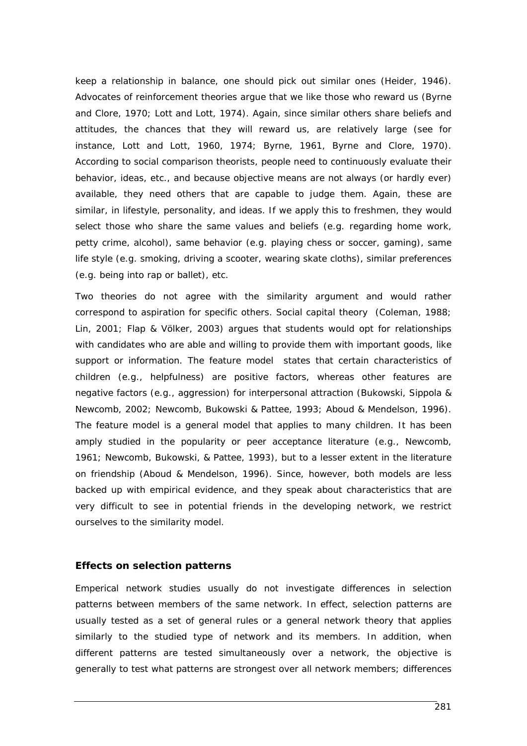keep a relationship in balance, one should pick out similar ones (Heider, 1946). Advocates of reinforcement theories argue that we like those who reward us (Byrne and Clore, 1970; Lott and Lott, 1974). Again, since similar others share beliefs and attitudes, the chances that they will reward us, are relatively large (see for instance, Lott and Lott, 1960, 1974; Byrne, 1961, Byrne and Clore, 1970). According to social comparison theorists, people need to continuously evaluate their behavior, ideas, etc., and because objective means are not always (or hardly ever) available, they need others that are capable to judge them. Again, these are similar, in lifestyle, personality, and ideas. If we apply this to freshmen, they would select those who share the same values and beliefs (e.g. regarding home work, petty crime, alcohol), same behavior (e.g. playing chess or soccer, gaming), same life style (e.g. smoking, driving a scooter, wearing skate cloths), similar preferences (e.g. being into rap or ballet), etc.

Two theories do not agree with the similarity argument and would rather correspond to aspiration for specific others. Social capital theory (Coleman, 1988; Lin, 2001; Flap & Völker, 2003) argues that students would opt for relationships with candidates who are able and willing to provide them with important goods, like support or information. The feature model states that certain characteristics of children (e.g., helpfulness) are positive factors, whereas other features are negative factors (e.g., aggression) for interpersonal attraction (Bukowski, Sippola & Newcomb, 2002; Newcomb, Bukowski & Pattee, 1993; Aboud & Mendelson, 1996). The feature model is a general model that applies to many children. It has been amply studied in the popularity or peer acceptance literature (e.g., Newcomb, 1961; Newcomb, Bukowski, & Pattee, 1993), but to a lesser extent in the literature on friendship (Aboud & Mendelson, 1996). Since, however, both models are less backed up with empirical evidence, and they speak about characteristics that are very difficult to see in potential friends in the developing network, we restrict ourselves to the similarity model.

# **Effects on selection patterns**

Emperical network studies usually do not investigate differences in selection patterns between members of the same network. In effect, selection patterns are usually tested as a set of general rules or a general network theory that applies similarly to the studied type of network and its members. In addition, when different patterns are tested simultaneously over a network, the objective is generally to test what patterns are strongest over all network members; differences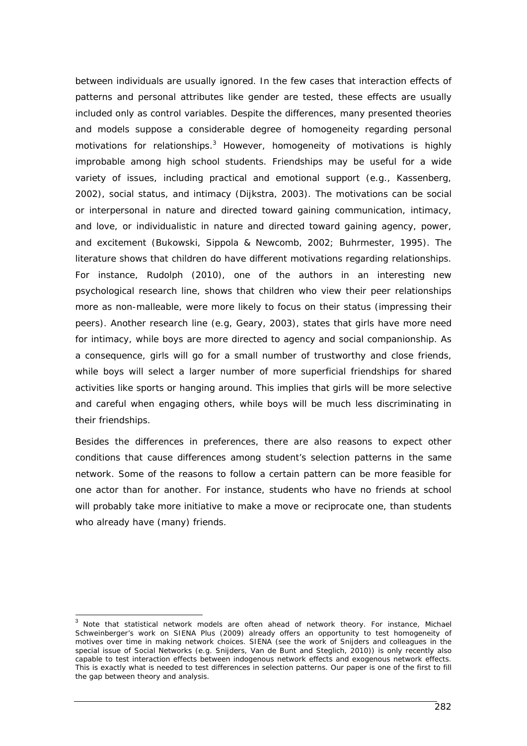between individuals are usually ignored. In the few cases that interaction effects of patterns and personal attributes like gender are tested, these effects are usually included only as control variables. Despite the differences, many presented theories and models suppose a considerable degree of homogeneity regarding personal motivations for relationships. $3$  However, homogeneity of motivations is highly improbable among high school students. Friendships may be useful for a wide variety of issues, including practical and emotional support (e.g., Kassenberg, 2002), social status, and intimacy (Dijkstra, 2003). The motivations can be social or interpersonal in nature and directed toward gaining communication, intimacy, and love, or individualistic in nature and directed toward gaining agency, power, and excitement (Bukowski, Sippola & Newcomb, 2002; Buhrmester, 1995). The literature shows that children do have different motivations regarding relationships. For instance, Rudolph (2010), one of the authors in an interesting new psychological research line, shows that children who view their peer relationships more as non-malleable, were more likely to focus on their status (impressing their peers). Another research line (e.g, Geary, 2003), states that girls have more need for intimacy, while boys are more directed to agency and social companionship. As a consequence, girls will go for a small number of trustworthy and close friends, while boys will select a larger number of more superficial friendships for shared activities like sports or hanging around. This implies that girls will be more selective and careful when engaging others, while boys will be much less discriminating in their friendships.

Besides the differences in preferences, there are also reasons to expect other conditions that cause differences among student's selection patterns in the same network. Some of the reasons to follow a certain pattern can be more feasible for one actor than for another. For instance, students who have no friends at school will probably take more initiative to make a move or reciprocate one, than students who already have (many) friends.

1

<sup>&</sup>lt;sup>3</sup> Note that statistical network models are often ahead of network theory. For instance, Michael Schweinberger's work on SIENA Plus (2009) already offers an opportunity to test homogeneity of motives over time in making network choices. SIENA (see the work of Snijders and colleagues in the special issue of Social Networks (e.g. Snijders, Van de Bunt and Steglich, 2010)) is only recently also capable to test interaction effects between indogenous network effects and exogenous network effects. This is exactly what is needed to test differences in selection patterns. Our paper is one of the first to fill the gap between theory and analysis.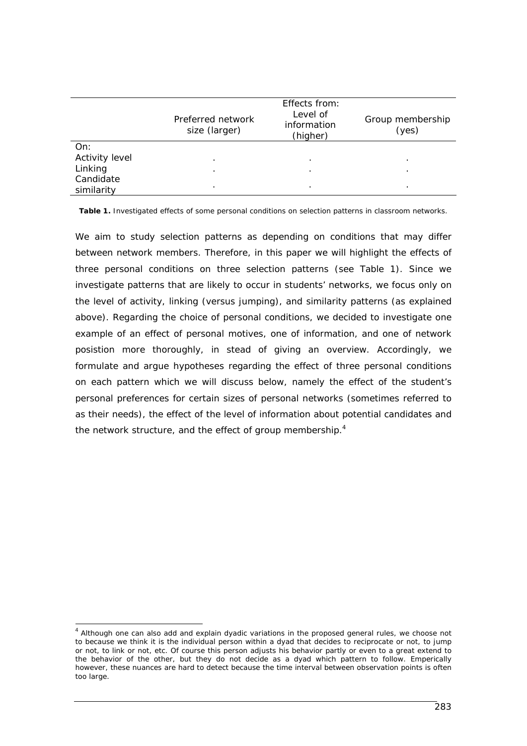|                | Preferred network<br>size (larger) | Effects from:<br>Level of<br>information<br>(higher) | Group membership<br>(yes) |
|----------------|------------------------------------|------------------------------------------------------|---------------------------|
| On:            |                                    |                                                      |                           |
| Activity level | $\cdot$                            | $\cdot$                                              | ٠                         |
| Linking        |                                    | $\cdot$                                              | ٠                         |
| Candidate      |                                    |                                                      |                           |
| similarity     | ٠                                  | $\cdot$                                              | ٠                         |

**Table 1.** Investigated effects of some personal conditions on selection patterns in classroom networks.

We aim to study selection patterns as depending on conditions that may differ between network members. Therefore, in this paper we will highlight the effects of three personal conditions on three selection patterns (see Table 1). Since we investigate patterns that are likely to occur in students' networks, we focus only on the level of activity, linking (versus jumping), and similarity patterns (as explained above). Regarding the choice of personal conditions, we decided to investigate one example of an effect of personal motives, one of information, and one of network posistion more thoroughly, in stead of giving an overview. Accordingly, we formulate and argue hypotheses regarding the effect of three personal conditions on each pattern which we will discuss below, namely the effect of the student's personal preferences for certain sizes of personal networks (sometimes referred to as their needs), the effect of the level of information about potential candidates and the network structure, and the effect of group membership. $4$ 

1

 $<sup>4</sup>$  Although one can also add and explain dyadic variations in the proposed general rules, we choose not</sup> to because we think it is the individual person within a dyad that decides to reciprocate or not, to jump or not, to link or not, etc. Of course this person adjusts his behavior partly or even to a great extend to the behavior of the other, but they do not decide as a dyad which pattern to follow. Emperically however, these nuances are hard to detect because the time interval between observation points is often too large.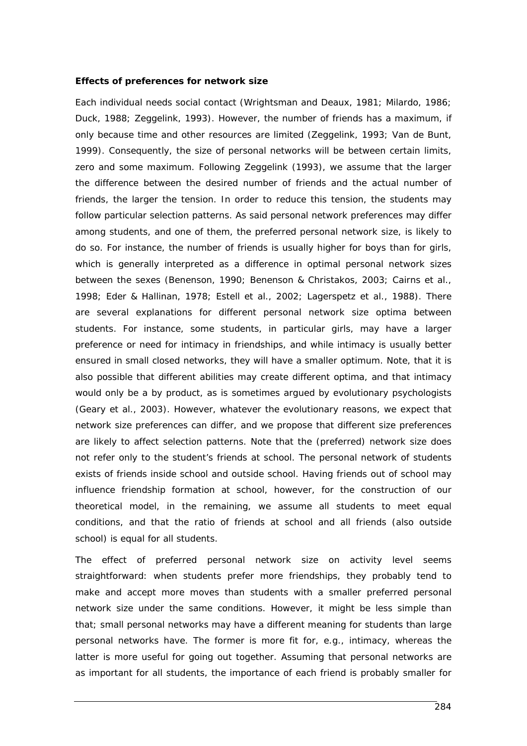#### **Effects of preferences for network size**

Each individual needs social contact (Wrightsman and Deaux, 1981; Milardo, 1986; Duck, 1988; Zeggelink, 1993). However, the number of friends has a maximum, if only because time and other resources are limited (Zeggelink, 1993; Van de Bunt, 1999). Consequently, the size of personal networks will be between certain limits, zero and some maximum. Following Zeggelink (1993), we assume that the larger the difference between the desired number of friends and the actual number of friends, the larger the tension. In order to reduce this tension, the students may follow particular selection patterns. As said personal network preferences may differ among students, and one of them, the preferred personal network size, is likely to do so. For instance, the number of friends is usually higher for boys than for girls, which is generally interpreted as a difference in optimal personal network sizes between the sexes (Benenson, 1990; Benenson & Christakos, 2003; Cairns et al., 1998; Eder & Hallinan, 1978; Estell et al., 2002; Lagerspetz et al., 1988). There are several explanations for different personal network size optima between students. For instance, some students, in particular girls, may have a larger preference or need for intimacy in friendships, and while intimacy is usually better ensured in small closed networks, they will have a smaller optimum. Note, that it is also possible that different abilities may create different optima, and that intimacy would only be a by product, as is sometimes argued by evolutionary psychologists (Geary et al., 2003). However, whatever the evolutionary reasons, we expect that network size preferences can differ, and we propose that different size preferences are likely to affect selection patterns. Note that the (preferred) network size does not refer only to the student's friends at school. The personal network of students exists of friends inside school and outside school. Having friends out of school may influence friendship formation at school, however, for the construction of our theoretical model, in the remaining, we assume all students to meet equal conditions, and that the ratio of friends at school and all friends (also outside school) is equal for all students.

The effect of preferred personal network size on activity level seems straightforward: when students prefer more friendships, they probably tend to make and accept more moves than students with a smaller preferred personal network size under the same conditions. However, it might be less simple than that; small personal networks may have a different meaning for students than large personal networks have. The former is more fit for, e.g., intimacy, whereas the latter is more useful for going out together. Assuming that personal networks are as important for all students, the importance of each friend is probably smaller for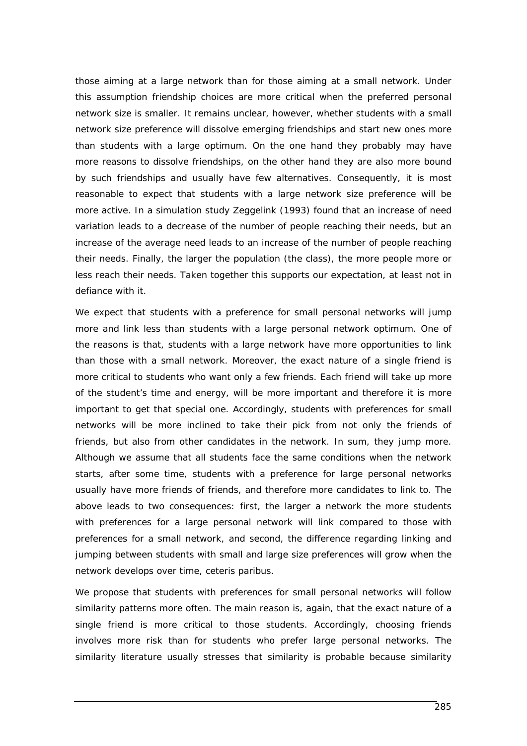those aiming at a large network than for those aiming at a small network. Under this assumption friendship choices are more critical when the preferred personal network size is smaller. It remains unclear, however, whether students with a small network size preference will dissolve emerging friendships and start new ones more than students with a large optimum. On the one hand they probably may have more reasons to dissolve friendships, on the other hand they are also more bound by such friendships and usually have few alternatives. Consequently, it is most reasonable to expect that students with a large network size preference will be more active. In a simulation study Zeggelink (1993) found that an increase of need variation leads to a decrease of the number of people reaching their needs, but an increase of the average need leads to an increase of the number of people reaching their needs. Finally, the larger the population (the class), the more people more or less reach their needs. Taken together this supports our expectation, at least not in defiance with it.

We expect that students with a preference for small personal networks will jump more and link less than students with a large personal network optimum. One of the reasons is that, students with a large network have more opportunities to link than those with a small network. Moreover, the exact nature of a single friend is more critical to students who want only a few friends. Each friend will take up more of the student's time and energy, will be more important and therefore it is more important to get that special one. Accordingly, students with preferences for small networks will be more inclined to take their pick from not only the friends of friends, but also from other candidates in the network. In sum, they jump more. Although we assume that all students face the same conditions when the network starts, after some time, students with a preference for large personal networks usually have more friends of friends, and therefore more candidates to link to. The above leads to two consequences: first, the larger a network the more students with preferences for a large personal network will link compared to those with preferences for a small network, and second, the difference regarding linking and jumping between students with small and large size preferences will grow when the network develops over time, ceteris paribus.

We propose that students with preferences for small personal networks will follow similarity patterns more often. The main reason is, again, that the exact nature of a single friend is more critical to those students. Accordingly, choosing friends involves more risk than for students who prefer large personal networks. The similarity literature usually stresses that similarity is probable because similarity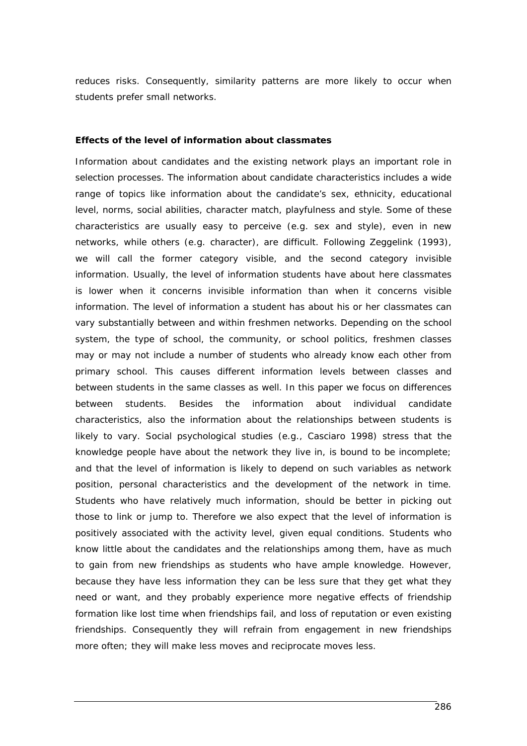reduces risks. Consequently, similarity patterns are more likely to occur when students prefer small networks.

## **Effects of the level of information about classmates**

Information about candidates and the existing network plays an important role in selection processes. The information about candidate characteristics includes a wide range of topics like information about the candidate's sex, ethnicity, educational level, norms, social abilities, character match, playfulness and style. Some of these characteristics are usually easy to perceive (e.g. sex and style), even in new networks, while others (e.g. character), are difficult. Following Zeggelink (1993), we will call the former category visible, and the second category invisible information. Usually, the level of information students have about here classmates is lower when it concerns invisible information than when it concerns visible information. The level of information a student has about his or her classmates can vary substantially between and within freshmen networks. Depending on the school system, the type of school, the community, or school politics, freshmen classes may or may not include a number of students who already know each other from primary school. This causes different information levels between classes and between students in the same classes as well. In this paper we focus on differences between students. Besides the information about individual candidate characteristics, also the information about the relationships between students is likely to vary. Social psychological studies (e.g., Casciaro 1998) stress that the knowledge people have about the network they live in, is bound to be incomplete; and that the level of information is likely to depend on such variables as network position, personal characteristics and the development of the network in time. Students who have relatively much information, should be better in picking out those to link or jump to. Therefore we also expect that the level of information is positively associated with the activity level, given equal conditions. Students who know little about the candidates and the relationships among them, have as much to gain from new friendships as students who have ample knowledge. However, because they have less information they can be less sure that they get what they need or want, and they probably experience more negative effects of friendship formation like lost time when friendships fail, and loss of reputation or even existing friendships. Consequently they will refrain from engagement in new friendships more often; they will make less moves and reciprocate moves less.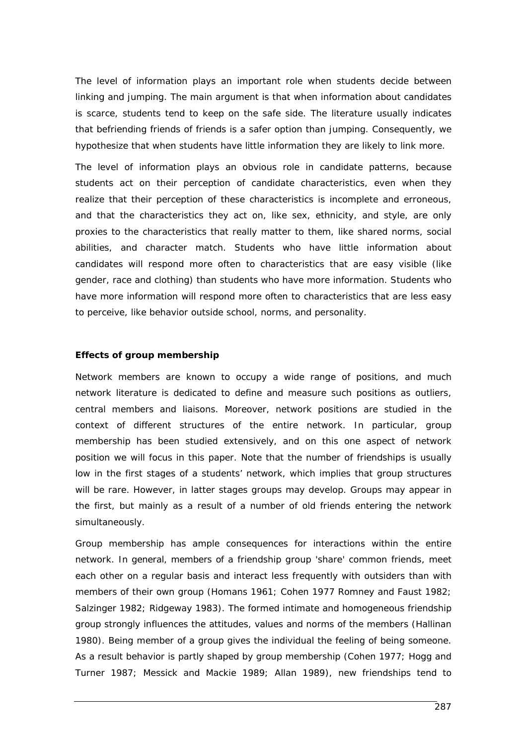The level of information plays an important role when students decide between linking and jumping. The main argument is that when information about candidates is scarce, students tend to keep on the safe side. The literature usually indicates that befriending friends of friends is a safer option than jumping. Consequently, we hypothesize that when students have little information they are likely to link more.

The level of information plays an obvious role in candidate patterns, because students act on their perception of candidate characteristics, even when they realize that their perception of these characteristics is incomplete and erroneous, and that the characteristics they act on, like sex, ethnicity, and style, are only proxies to the characteristics that really matter to them, like shared norms, social abilities, and character match. Students who have little information about candidates will respond more often to characteristics that are easy visible (like gender, race and clothing) than students who have more information. Students who have more information will respond more often to characteristics that are less easy to perceive, like behavior outside school, norms, and personality.

## **Effects of group membership**

Network members are known to occupy a wide range of positions, and much network literature is dedicated to define and measure such positions as outliers, central members and liaisons. Moreover, network positions are studied in the context of different structures of the entire network. In particular, group membership has been studied extensively, and on this one aspect of network position we will focus in this paper. Note that the number of friendships is usually low in the first stages of a students' network, which implies that group structures will be rare. However, in latter stages groups may develop. Groups may appear in the first, but mainly as a result of a number of old friends entering the network simultaneously.

Group membership has ample consequences for interactions within the entire network. In general, members of a friendship group 'share' common friends, meet each other on a regular basis and interact less frequently with outsiders than with members of their own group (Homans 1961; Cohen 1977 Romney and Faust 1982; Salzinger 1982; Ridgeway 1983). The formed intimate and homogeneous friendship group strongly influences the attitudes, values and norms of the members (Hallinan 1980). Being member of a group gives the individual the feeling of being someone. As a result behavior is partly shaped by group membership (Cohen 1977; Hogg and Turner 1987; Messick and Mackie 1989; Allan 1989), new friendships tend to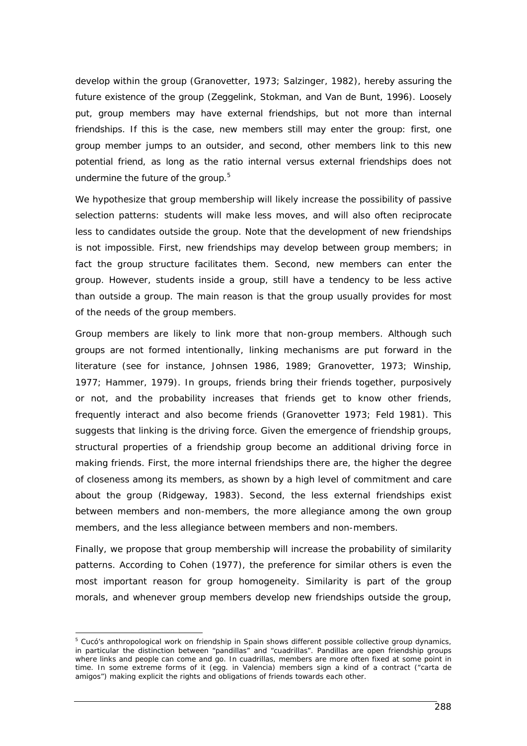develop within the group (Granovetter, 1973; Salzinger, 1982), hereby assuring the future existence of the group (Zeggelink, Stokman, and Van de Bunt, 1996). Loosely put, group members may have external friendships, but not more than internal friendships. If this is the case, new members still may enter the group: first, one group member jumps to an outsider, and second, other members link to this new potential friend, as long as the ratio internal versus external friendships does not undermine the future of the group. $5$ 

We hypothesize that group membership will likely increase the possibility of passive selection patterns: students will make less moves, and will also often reciprocate less to candidates outside the group. Note that the development of new friendships is not impossible. First, new friendships may develop between group members; in fact the group structure facilitates them. Second, new members can enter the group. However, students inside a group, still have a tendency to be less active than outside a group. The main reason is that the group usually provides for most of the needs of the group members.

Group members are likely to link more that non-group members. Although such groups are not formed intentionally, linking mechanisms are put forward in the literature (see for instance, Johnsen 1986, 1989; Granovetter, 1973; Winship, 1977; Hammer, 1979). In groups, friends bring their friends together, purposively or not, and the probability increases that friends get to know other friends, frequently interact and also become friends (Granovetter 1973; Feld 1981). This suggests that linking is the driving force. Given the emergence of friendship groups, structural properties of a friendship group become an additional driving force in making friends. First, the more internal friendships there are, the higher the degree of closeness among its members, as shown by a high level of commitment and care about the group (Ridgeway, 1983). Second, the less external friendships exist between members and non-members, the more allegiance among the own group members, and the less allegiance between members and non-members.

Finally, we propose that group membership will increase the probability of similarity patterns. According to Cohen (1977), the preference for similar others is even the most important reason for group homogeneity. Similarity is part of the group morals, and whenever group members develop new friendships outside the group,

 $\overline{a}$ 

<sup>&</sup>lt;sup>5</sup> Cucó's anthropological work on friendship in Spain shows different possible collective group dynamics, in particular the distinction between "pandillas" and "cuadrillas". Pandillas are open friendship groups where links and people can come and go. In cuadrillas, members are more often fixed at some point in time. In some extreme forms of it (egg. in Valencia) members sign a kind of a contract ("carta de amigos") making explicit the rights and obligations of friends towards each other.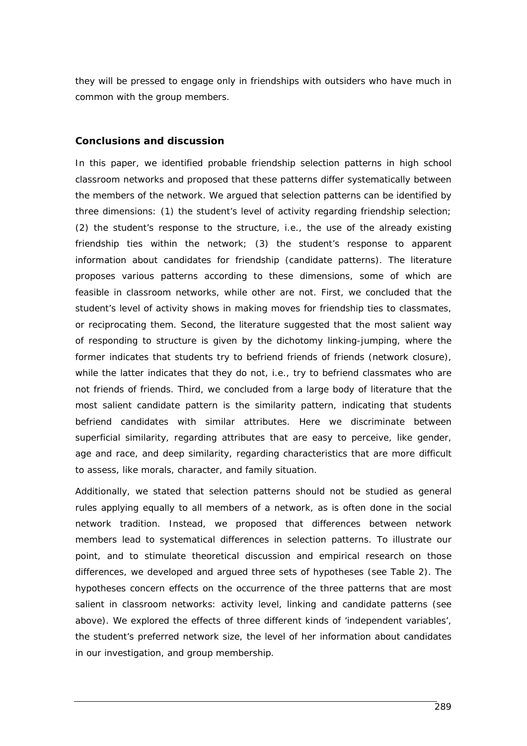they will be pressed to engage only in friendships with outsiders who have much in common with the group members.

# **Conclusions and discussion**

In this paper, we identified probable friendship selection patterns in high school classroom networks and proposed that these patterns differ systematically between the members of the network. We argued that selection patterns can be identified by three dimensions: (1) the student's level of activity regarding friendship selection; (2) the student's response to the structure, i.e., the use of the already existing friendship ties within the network; (3) the student's response to apparent information about candidates for friendship (candidate patterns). The literature proposes various patterns according to these dimensions, some of which are feasible in classroom networks, while other are not. First, we concluded that the student's level of activity shows in making moves for friendship ties to classmates, or reciprocating them. Second, the literature suggested that the most salient way of responding to structure is given by the dichotomy linking-jumping, where the former indicates that students try to befriend friends of friends (network closure), while the latter indicates that they do not, i.e., try to befriend classmates who are not friends of friends. Third, we concluded from a large body of literature that the most salient candidate pattern is the similarity pattern, indicating that students befriend candidates with similar attributes. Here we discriminate between superficial similarity, regarding attributes that are easy to perceive, like gender, age and race, and deep similarity, regarding characteristics that are more difficult to assess, like morals, character, and family situation.

Additionally, we stated that selection patterns should not be studied as general rules applying equally to all members of a network, as is often done in the social network tradition. Instead, we proposed that differences between network members lead to systematical differences in selection patterns. To illustrate our point, and to stimulate theoretical discussion and empirical research on those differences, we developed and argued three sets of hypotheses (see Table 2). The hypotheses concern effects on the occurrence of the three patterns that are most salient in classroom networks: activity level, linking and candidate patterns (see above). We explored the effects of three different kinds of 'independent variables', the student's preferred network size, the level of her information about candidates in our investigation, and group membership.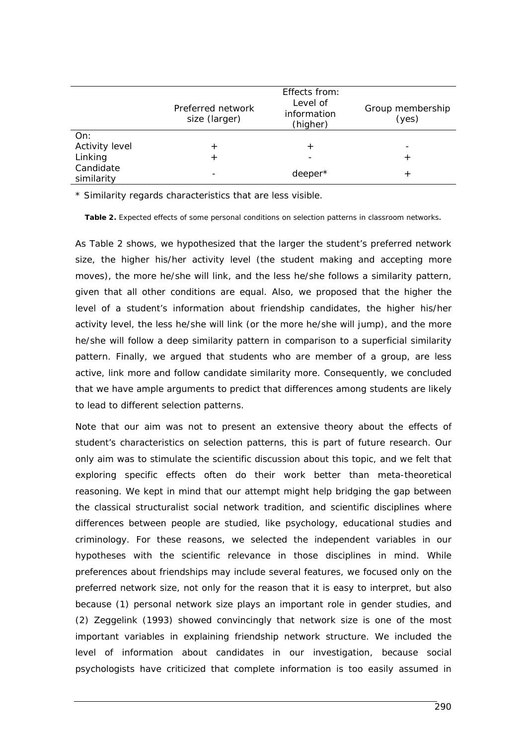|                         | Preferred network<br>size (larger) | Effects from:<br>Level of<br>information<br>(higher) | Group membership<br>(yes) |
|-------------------------|------------------------------------|------------------------------------------------------|---------------------------|
| On:                     |                                    |                                                      |                           |
| Activity level          | $\,{}^+$                           | $\,{}^+$                                             |                           |
| Linking                 | ┿                                  |                                                      |                           |
| Candidate<br>similarity |                                    | deeper*                                              | $^{\mathrm{+}}$           |

\* Similarity regards characteristics that are less visible.

**Table 2.** Expected effects of some personal conditions on selection patterns in classroom networks.

As Table 2 shows, we hypothesized that the larger the student's preferred network size, the higher his/her activity level (the student making and accepting more moves), the more he/she will link, and the less he/she follows a similarity pattern, given that all other conditions are equal. Also, we proposed that the higher the level of a student's information about friendship candidates, the higher his/her activity level, the less he/she will link (or the more he/she will jump), and the more he/she will follow a deep similarity pattern in comparison to a superficial similarity pattern. Finally, we argued that students who are member of a group, are less active, link more and follow candidate similarity more. Consequently, we concluded that we have ample arguments to predict that differences among students are likely to lead to different selection patterns.

Note that our aim was not to present an extensive theory about the effects of student's characteristics on selection patterns, this is part of future research. Our only aim was to stimulate the scientific discussion about this topic, and we felt that exploring specific effects often do their work better than meta-theoretical reasoning. We kept in mind that our attempt might help bridging the gap between the classical structuralist social network tradition, and scientific disciplines where differences between people are studied, like psychology, educational studies and criminology. For these reasons, we selected the independent variables in our hypotheses with the scientific relevance in those disciplines in mind. While preferences about friendships may include several features, we focused only on the preferred network size, not only for the reason that it is easy to interpret, but also because (1) personal network size plays an important role in gender studies, and (2) Zeggelink (1993) showed convincingly that network size is one of the most important variables in explaining friendship network structure. We included the level of information about candidates in our investigation, because social psychologists have criticized that complete information is too easily assumed in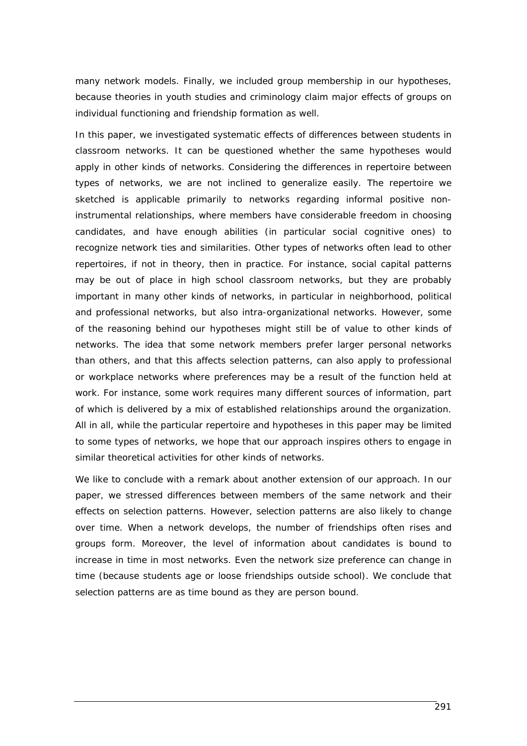many network models. Finally, we included group membership in our hypotheses, because theories in youth studies and criminology claim major effects of groups on individual functioning and friendship formation as well.

In this paper, we investigated systematic effects of differences between students in classroom networks. It can be questioned whether the same hypotheses would apply in other kinds of networks. Considering the differences in repertoire between types of networks, we are not inclined to generalize easily. The repertoire we sketched is applicable primarily to networks regarding informal positive noninstrumental relationships, where members have considerable freedom in choosing candidates, and have enough abilities (in particular social cognitive ones) to recognize network ties and similarities. Other types of networks often lead to other repertoires, if not in theory, then in practice. For instance, social capital patterns may be out of place in high school classroom networks, but they are probably important in many other kinds of networks, in particular in neighborhood, political and professional networks, but also intra-organizational networks. However, some of the reasoning behind our hypotheses might still be of value to other kinds of networks. The idea that some network members prefer larger personal networks than others, and that this affects selection patterns, can also apply to professional or workplace networks where preferences may be a result of the function held at work. For instance, some work requires many different sources of information, part of which is delivered by a mix of established relationships around the organization. All in all, while the particular repertoire and hypotheses in this paper may be limited to some types of networks, we hope that our approach inspires others to engage in similar theoretical activities for other kinds of networks.

We like to conclude with a remark about another extension of our approach. In our paper, we stressed differences between members of the same network and their effects on selection patterns. However, selection patterns are also likely to change over time. When a network develops, the number of friendships often rises and groups form. Moreover, the level of information about candidates is bound to increase in time in most networks. Even the network size preference can change in time (because students age or loose friendships outside school). We conclude that selection patterns are as time bound as they are person bound.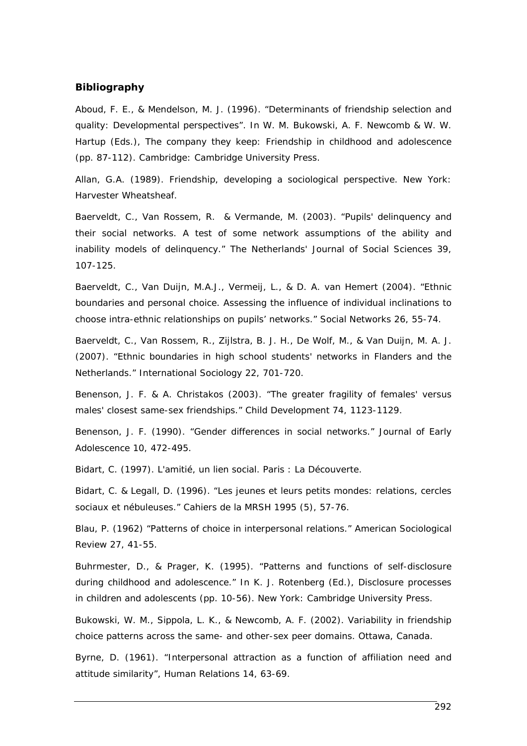#### **Bibliography**

Aboud, F. E., & Mendelson, M. J. (1996). "Determinants of friendship selection and quality: Developmental perspectives". In W. M. Bukowski, A. F. Newcomb & W. W. Hartup (Eds.), *The company they keep: Friendship in childhood and adolescence* (pp. 87-112). Cambridge: Cambridge University Press.

Allan, G.A. (1989). *Friendship, developing a sociological perspective*. New York: Harvester Wheatsheaf.

Baerveldt, C., Van Rossem, R. & Vermande, M. (2003). "Pupils' delinquency and their social networks. A test of some network assumptions of the ability and inability models of delinquency." *The Netherlands' Journal of Social Sciences* 39, 107-125.

Baerveldt, C., Van Duijn, M.A.J., Vermeij, L., & D. A. van Hemert (2004). "Ethnic boundaries and personal choice. Assessing the influence of individual inclinations to choose intra-ethnic relationships on pupils' networks." *Social Networks* 26, 55-74.

Baerveldt, C., Van Rossem, R., Zijlstra, B. J. H., De Wolf, M., & Van Duijn, M. A. J. (2007). "Ethnic boundaries in high school students' networks in Flanders and the Netherlands." *International Sociology* 22, 701-720.

Benenson, J. F. & A. Christakos (2003). "The greater fragility of females' versus males' closest same-sex friendships." *Child Development* 74, 1123-1129.

Benenson, J. F. (1990). "Gender differences in social networks." *Journal of Early Adolescence* 10, 472-495.

Bidart, C. (1997). *L'amitié, un lien social*. Paris : La Découverte.

Bidart, C. & Legall, D. (1996). "Les jeunes et leurs petits mondes: relations, cercles sociaux et nébuleuses." *Cahiers de la MRSH* 1995 (5), 57-76.

Blau, P. (1962) "Patterns of choice in interpersonal relations." *American Sociological Review* 27, 41-55.

Buhrmester, D., & Prager, K. (1995). "Patterns and functions of self-disclosure during childhood and adolescence." In K. J. Rotenberg (Ed.), *Disclosure processes in children and adolescents* (pp. 10-56). New York: Cambridge University Press.

Bukowski, W. M., Sippola, L. K., & Newcomb, A. F. (2002). *Variability in friendship choice patterns across the same- and other-sex peer domains*. Ottawa, Canada.

Byrne, D. (1961). "Interpersonal attraction as a function of affiliation need and attitude similarity", *Human Relations* 14, 63-69.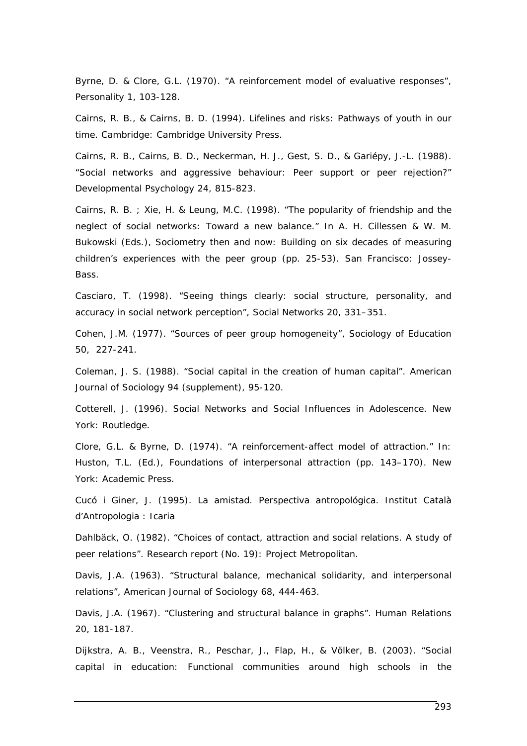Byrne, D. & Clore, G.L. (1970). "A reinforcement model of evaluative responses", *Personality* 1, 103-128.

Cairns, R. B., & Cairns, B. D. (1994). *Lifelines and risks: Pathways of youth in our time*. Cambridge: Cambridge University Press.

Cairns, R. B., Cairns, B. D., Neckerman, H. J., Gest, S. D., & Gariépy, J.-L. (1988). "Social networks and aggressive behaviour: Peer support or peer rejection?" *Developmental Psychology* 24, 815-823.

Cairns, R. B. ; Xie, H. & Leung, M.C. (1998). "The popularity of friendship and the neglect of social networks: Toward a new balance." In A. H. Cillessen & W. M. Bukowski (Eds.), *Sociometry then and now: Building on six decades of measuring children's experiences with the peer group* (pp. 25-53). San Francisco: Jossey-Bass.

Casciaro, T. (1998). "Seeing things clearly: social structure, personality, and accuracy in social network perception", *Social Networks* 20, 331–351.

Cohen, J.M. (1977). "Sources of peer group homogeneity", *Sociology of Education*  50, 227-241.

Coleman, J. S. (1988). "Social capital in the creation of human capital". *American Journal of Sociology* 94 (supplement), 95-120.

Cotterell, J. (1996). *Social Networks and Social Influences in Adolescence*. New York: Routledge.

Clore, G.L. & Byrne, D. (1974). "A reinforcement-affect model of attraction." In: Huston, T.L. (Ed.), *Foundations of interpersonal attraction* (pp. 143–170). New York: Academic Press.

Cucó i Giner, J. (1995). *La amistad. Perspectiva antropológica.* Institut Català d'Antropologia : Icaria

Dahlbäck, O. (1982). "Choices of contact, attraction and social relations. A study of peer relations". *Research report* (No. 19): Project Metropolitan.

Davis, J.A. (1963). "Structural balance, mechanical solidarity, and interpersonal relations", *American Journal of Sociology* 68, 444-463.

Davis, J.A. (1967). "Clustering and structural balance in graphs". *Human Relations*  20, 181-187.

Dijkstra, A. B., Veenstra, R., Peschar, J., Flap, H., & Völker, B. (2003). "Social capital in education: Functional communities around high schools in the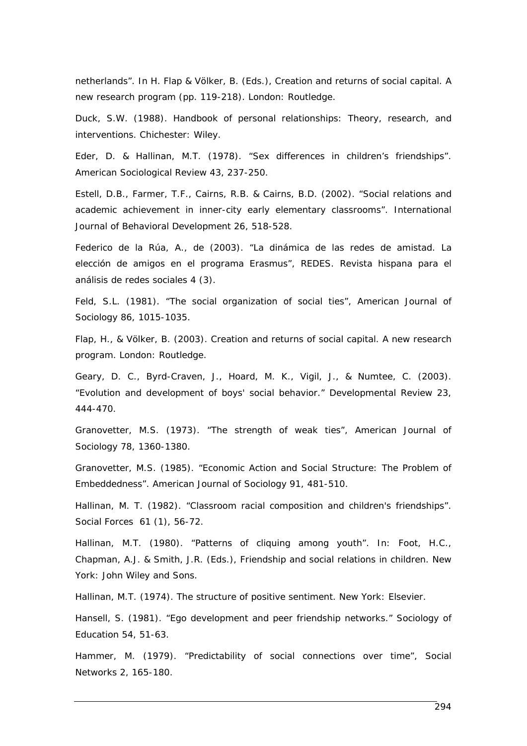netherlands". In H. Flap & Völker, B. (Eds.), *Creation and returns of social capital. A new research program* (pp. 119-218). London: Routledge.

Duck, S.W. (1988). *Handbook of personal relationships: Theory, research, and interventions*. Chichester: Wiley.

Eder, D. & Hallinan, M.T. (1978). "Sex differences in children's friendships". *American Sociological Review* 43, 237-250.

Estell, D.B., Farmer, T.F., Cairns, R.B. & Cairns, B.D. (2002). "Social relations and academic achievement in inner-city early elementary classrooms". *International Journal of Behavioral Development* 26, 518-528.

Federico de la Rúa, A., de (2003). "La dinámica de las redes de amistad. La elección de amigos en el programa Erasmus", *REDES. Revista hispana para el análisis de redes sociales* 4 (3).

Feld, S.L. (1981). "The social organization of social ties", *American Journal of Sociology* 86, 1015-1035.

Flap, H., & Völker, B. (2003). *Creation and returns of social capital. A new research program.* London: Routledge.

Geary, D. C., Byrd-Craven, J., Hoard, M. K., Vigil, J., & Numtee, C. (2003). "Evolution and development of boys' social behavior." *Developmental Review* 23, 444-470.

Granovetter, M.S. (1973). "The strength of weak ties", *American Journal of Sociology* 78, 1360-1380.

Granovetter, M.S. (1985). "Economic Action and Social Structure: The Problem of Embeddedness". *American Journal of Sociology* 91, 481-510.

Hallinan, M. T. (1982). "Classroom racial composition and children's friendships". *Social Forces* 61 (1), 56-72.

Hallinan, M.T. (1980). "Patterns of cliquing among youth". In: Foot, H.C., Chapman, A.J. & Smith, J.R. (Eds.), *Friendship and social relations in children*. New York: John Wiley and Sons.

Hallinan, M.T. (1974). *The structure of positive sentiment*. New York: Elsevier.

Hansell, S. (1981). "Ego development and peer friendship networks." *Sociology of Education* 54, 51-63.

Hammer, M. (1979). "Predictability of social connections over time", *Social Networks* 2, 165-180.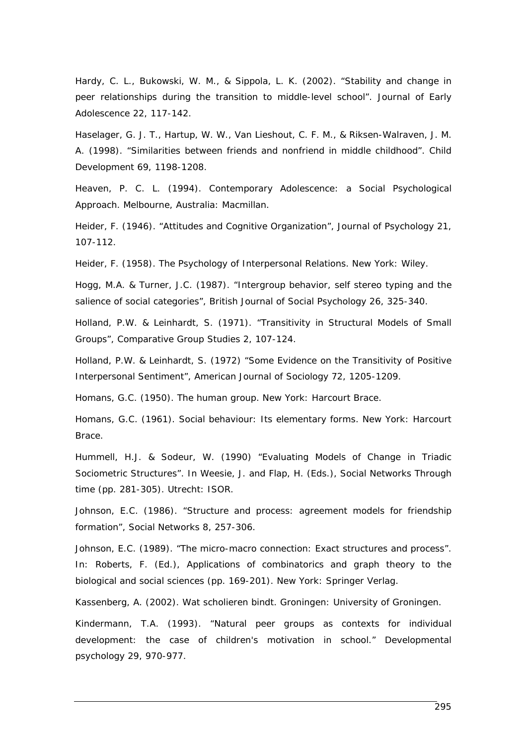Hardy, C. L., Bukowski, W. M., & Sippola, L. K. (2002). "Stability and change in peer relationships during the transition to middle-level school". *Journal of Early Adolescence* 22, 117-142.

Haselager, G. J. T., Hartup, W. W., Van Lieshout, C. F. M., & Riksen-Walraven, J. M. A. (1998). "Similarities between friends and nonfriend in middle childhood". *Child Development* 69, 1198-1208.

Heaven, P. C. L. (1994). *Contemporary Adolescence: a Social Psychological Approach*. Melbourne, Australia: Macmillan.

Heider, F. (1946). "Attitudes and Cognitive Organization", *Journal of Psychology* 21, 107-112.

Heider, F. (1958). *The Psychology of Interpersonal Relations*. New York: Wiley.

Hogg, M.A. & Turner, J.C. (1987). "Intergroup behavior, self stereo typing and the salience of social categories", *British Journal of Social Psychology* 26, 325-340.

Holland, P.W. & Leinhardt, S. (1971). "Transitivity in Structural Models of Small Groups", *Comparative Group Studies* 2, 107-124.

Holland, P.W. & Leinhardt, S. (1972) "Some Evidence on the Transitivity of Positive Interpersonal Sentiment", *American Journal of Sociology* 72, 1205-1209.

Homans, G.C. (1950). *The human group*. New York: Harcourt Brace.

Homans, G.C. (1961). *Social behaviour: Its elementary forms*. New York: Harcourt Brace.

Hummell, H.J. & Sodeur, W. (1990) "Evaluating Models of Change in Triadic Sociometric Structures". In Weesie, J. and Flap, H. (Eds.), *Social Networks Through time* (pp. 281-305). Utrecht: ISOR.

Johnson, E.C. (1986). "Structure and process: agreement models for friendship formation", *Social Networks* 8, 257-306.

Johnson, E.C. (1989). "The micro-macro connection: Exact structures and process". In: Roberts, F. (Ed.), *Applications of combinatorics and graph theory to the biological and social sciences* (pp. 169-201). New York: Springer Verlag.

Kassenberg, A. (2002). *Wat scholieren bindt*. Groningen: University of Groningen.

Kindermann, T.A. (1993). "Natural peer groups as contexts for individual development: the case of children's motivation in school." *Developmental psychology* 29, 970-977.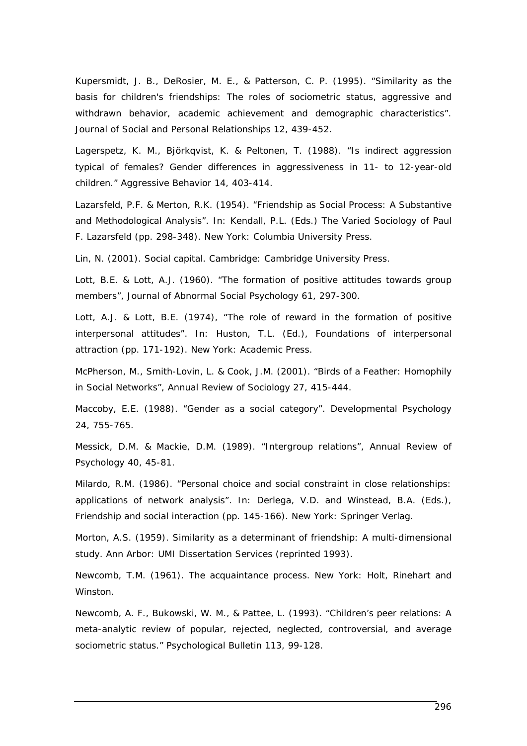Kupersmidt, J. B., DeRosier, M. E., & Patterson, C. P. (1995). "Similarity as the basis for children's friendships: The roles of sociometric status, aggressive and withdrawn behavior, academic achievement and demographic characteristics". *Journal of Social and Personal Relationships* 12, 439-452.

Lagerspetz, K. M., Björkqvist, K. & Peltonen, T. (1988). "Is indirect aggression typical of females? Gender differences in aggressiveness in 11- to 12-year-old children." *Aggressive Behavior* 14, 403-414.

Lazarsfeld, P.F. & Merton, R.K. (1954). "Friendship as Social Process: A Substantive and Methodological Analysis". In: Kendall, P.L. (Eds.) *The Varied Sociology of Paul F. Lazarsfeld* (pp. 298-348). New York: Columbia University Press.

Lin, N. (2001). *Social capital*. Cambridge: Cambridge University Press.

Lott, B.E. & Lott, A.J. (1960). "The formation of positive attitudes towards group members", *Journal of Abnormal Social Psychology* 61, 297-300.

Lott, A.J. & Lott, B.E. (1974), "The role of reward in the formation of positive interpersonal attitudes". In: Huston, T.L. (Ed.), *Foundations of interpersonal attraction* (pp. 171-192). New York: Academic Press.

McPherson, M., Smith-Lovin, L. & Cook, J.M. (2001). "Birds of a Feather: Homophily in Social Networks", *Annual Review of Sociology* 27, 415-444.

Maccoby, E.E. (1988). "Gender as a social category". *Developmental Psychology*  24, 755-765.

Messick, D.M. & Mackie, D.M. (1989). "Intergroup relations", *Annual Review of Psychology* 40, 45-81.

Milardo, R.M. (1986). "Personal choice and social constraint in close relationships: applications of network analysis". In: Derlega, V.D. and Winstead, B.A. (Eds.), *Friendship and social interaction* (pp. 145-166). New York: Springer Verlag.

Morton, A.S. (1959). *Similarity as a determinant of friendship: A multi-dimensional study*. Ann Arbor: UMI Dissertation Services (reprinted 1993).

Newcomb, T.M. (1961). *The acquaintance process*. New York: Holt, Rinehart and Winston.

Newcomb, A. F., Bukowski, W. M., & Pattee, L. (1993). "Children's peer relations: A meta-analytic review of popular, rejected, neglected, controversial, and average sociometric status." *Psychological Bulletin* 113, 99-128.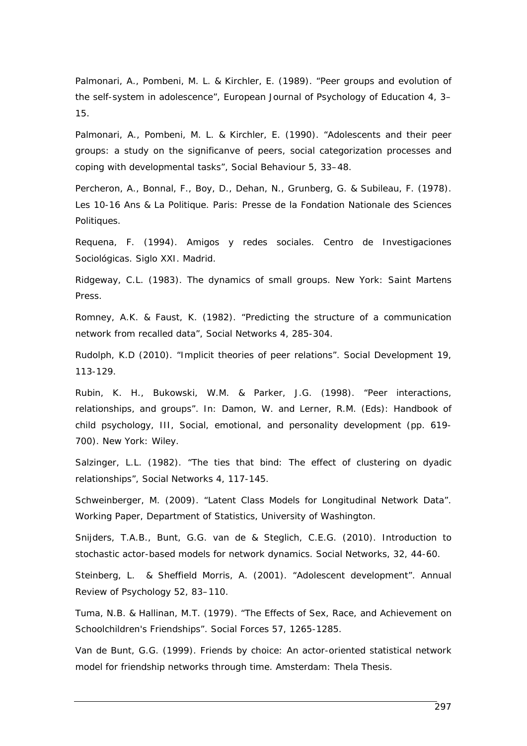Palmonari, A., Pombeni, M. L. & Kirchler, E. (1989). "Peer groups and evolution of the self-system in adolescence", *European Journal of Psychology of Education* 4, 3– 15.

Palmonari, A., Pombeni, M. L. & Kirchler, E. (1990). "Adolescents and their peer groups: a study on the significanve of peers, social categorization processes and coping with developmental tasks", *Social Behaviour* 5, 33–48.

Percheron, A., Bonnal, F., Boy, D., Dehan, N., Grunberg, G. & Subileau, F. (1978). *Les 10-16 Ans & La Politique*. Paris: Presse de la Fondation Nationale des Sciences Politiques.

Requena, F. (1994). *Amigos y redes sociales.* Centro de Investigaciones Sociológicas. Siglo XXI. Madrid.

Ridgeway, C.L. (1983). *The dynamics of small groups*. New York: Saint Martens Press.

Romney, A.K. & Faust, K. (1982). "Predicting the structure of a communication network from recalled data", *Social Networks* 4, 285-304.

Rudolph, K.D (2010). "Implicit theories of peer relations". *Social Development* 19, 113-129.

Rubin, K. H., Bukowski, W.M. & Parker, J.G. (1998). "Peer interactions, relationships, and groups". In: Damon, W. and Lerner, R.M. (Eds): *Handbook of child psychology, III, Social, emotional, and personality development* (pp. 619- 700). New York: Wiley.

Salzinger, L.L. (1982). "The ties that bind: The effect of clustering on dyadic relationships", *Social Networks* 4, 117-145.

Schweinberger, M. (2009). "Latent Class Models for Longitudinal Network Data". *Working Paper*, Department of Statistics, University of Washington.

Snijders, T.A.B., Bunt, G.G. van de & Steglich, C.E.G. (2010). Introduction to stochastic actor-based models for network dynamics. *Social Networks, 32*, 44-60.

Steinberg, L. & Sheffield Morris, A. (2001). "Adolescent development". *Annual Review of Psychology* 52, 83–110.

Tuma, N.B. & Hallinan, M.T. (1979). "The Effects of Sex, Race, and Achievement on Schoolchildren's Friendships". *Social Forces* 57, 1265-1285.

Van de Bunt, G.G. (1999). *Friends by choice: An actor-oriented statistical network model for friendship networks through time.* Amsterdam: Thela Thesis.